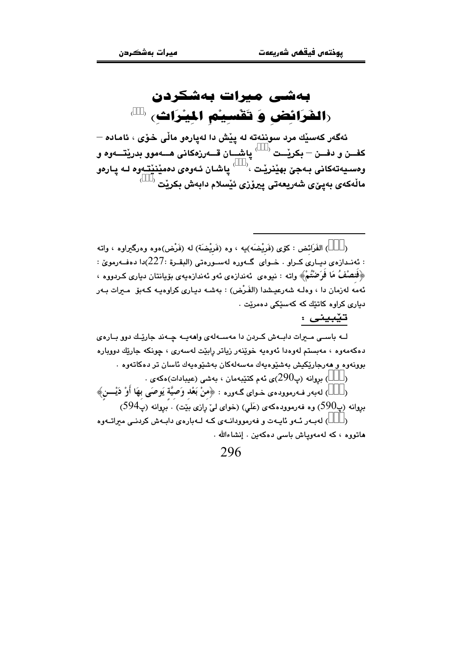### بەشى مېرات بەشكردن **(الفَرَائض وَ تَقْسينْمِ المِيْرَاث**ِ ( · )

ئهگەر كەسێك مرد سوننەتە لە پێش دا لەپارەو ماڵى خۆى ، ئامادە — کفـــن و دفـــن – بکریـْــت <sup>( د )</sup> پاشـــان قـــەرزەکانى هـــەموو بدریْتـــەوه و وهسيەتەكانى بـەجێ بهێنرێت <sup>،‹›</sup> ياشـان ئـەوەي دەمێنێتـەوە لـە يـارەو مالْەكەي بەيى<sub>ّى</sub> شەربعەتى يېرۆزى ئىسلام دابەش بكرنت <sup>( <sup>)</sup></sup>

) الفَرَائض : كَوّى (فَريْضَه)يه ، وه (فَريْضَة) له (فَرْض)هوه وهرگيراوه ، واته  $\lambda$ : ئەنىدازەي دېيارى كىراو . خىواي گىەورە لەسىورەتى (الېقىرة :227)دا دەفىەرمويّ : ﴿فَنصْفُ مَا فَرَضْتُمْ﴾ واته : نيوهي ئەندازەي ئەو ئەندازەيەي بۆيانتان دېارى كىردووە ، ئەمە لەزمان دا ، وەلـە شەرعىـِشدا (الفَـرْض) : بەشـە ديـارى كراوەيـە كـەبۆ مـىرات بـەر دباری کراوه کاتئك که کهسٽکي دهمريّت ٠

تێبيني :

لـه باسـی مـیرات دابـهش کـردن دا مهسـهلهی واههیـه چـهند جاریّـك دوو بـارهی دهکهمهوه ، مهبستم لهوهدا ئهوهيه خوێنهر زياتر رابێت لهسهري ، چونکه جارێك دووياره بوونەوە و ھەرجارێکىش بەشێوەبەك مەسەلەكان بەشێوەبەك ئاسان تر دەكاتەوە .

> ) بروانه (پ $(290)$ ی ئهم کتێیهمان ، بهشی (عبیادات)هکهی .  $\lambda$

) له به ر ف4رمووده ي خـواي گـهوره : ﴿هنْ بَعْد وَصِيَّة يَوصَى بهَا أَوْ دَيْـــن﴾  $\lambda$ بروانه (پ590) وه فهرموودهکهی (عَلَی) (خوای لیٌ رازی بیّت) . بروانه (پ594)

) لەيبەر ئىەق ئابيەت و فەرموۋدانيەي كىه لىەبارەي داييەش كردنىي مىراتيەۋە ماتووه ، که لهمهوياش باسي دهکهبن . إنشاءالله .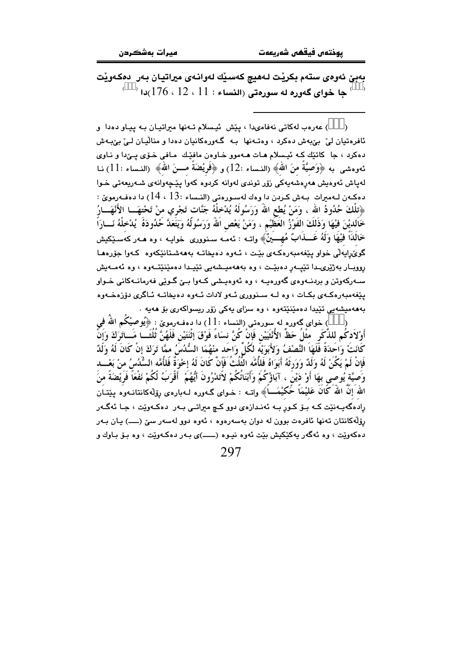بەبىّ ئەوەي ستەم بكريْت لـەھيچ كەسىيّك لەوانـەي ميراتيـان بـەر دەكـەويْت  $^{\circ}$  جا خواي گەورە لە سورەتى (النساء : 11 ، 12 ، 176)دا  $^{\circ}$ 

) عەرەب لەكاتى نەڧامىدا ، يێش ئيسلام تـەنھا مىراتيـان بـه ييـاو دەدا و  $\lambda$ ئافرەتيان ليٰ بيٰ،بەش دەكرد ، وەتـەنھا بـه گـەورەكانيان دەدا و مناليّان لـيٰ بيٰ،بـەش دهکرد ، جا کاتٽك کـه ئيسلام هـات هـهموو خـاوهن مافٽِك مـافي خـوّي پـێدا و نـاوي ئهوهشي به ﴿وَصيَّةٌ منَ اللهُ﴾ (النـساء :12) و ﴿فَرِيْضَةٌ مـــنَ اللهُ﴾ (النـساء :11) نـا لەياش ئەوەيش ھەرەشەيەكى زۆر توندى لەوانە كردوە كەوا يێڃەوانەي شـەريعەتى خـوا دهكـهن لـهميرات بـهش كـردن دا وهك لهسـورهتي (النـساء :13 ، 14) دا دهفـهرمويِّ : ﴿تلْكَ حُدُودُ الله ، وَمَنْ يُطع اللهَ وَرَسُولَهُ يُدْخلْهُ جَنَّات تَجْري منْ تَحْتهَـــا الأَنْهَـــارُ خَالديْنَ فيْهَا وَذَلَكَ الفَوْزُ العَظَيْمِ ، وَمَنْ يَعْص اللّهَ وَرَسُولُهُ وَيَتَعَدَّ حُدُودَهُ ۖ يُدْخلْهُ نَـــارَاً خَالُدَاً فَيْهَا وَلَهُ عَـــذَابٌ مُهـــيَنٌ﴾ واتــه : ئـهمــه ســنووري خـوايــه ، وه هــهر كهُسـێكيش گویٌ(ایهُانّی خواو یێغهمبهرهکهی بێت ، ئـهوه دهیخاتـه بهههشـتانێکهوه کـهوا جۆرەهـا رووبـار بەژێرىـدا تێيـەر دەبێـت ، وە بەھەميـشەيى تێيـدا دەمێنێتـەوە ، وە ئەمـەيش ســهرکهوتن و بردنــهوهی گهورهيــه ، وه ئهوهيــشى کــهوا بــێ گــوێی فهرمانــهکانی خــواو یێغەمبەرەكـەي بكـات ، وە لـه سـنوورى ئـهو لادات ئـهوه دەيخاتـه ئـاگرى دۆزەخـەوە بهههمیشهیی تێیدا دهمێنێتهوه ، وه سزای یهکی زۆر ریسواکهری بۆ هەیە .

) خواي گهوره له سورهتي (النساء :11) دا دهفهرمويّ : ﴿يُوصيْكُم اللَّهُ في أَوْلاَدكُم للذَّكَرِ ۚ مثْلُ حَظٍّ الأُنْفَيَيْنِ فَإِنْ كُنَّ نسَاءً فَوْقَ إِثْنَتَيْنِ فَلَهُنَّ ثُلُغَــا مَــاتَرَكَ وَإِنَّ كَانَتْ وَاحَدَةً فَلَهَاَ النَّصْفُ وَلأَبَوَيْهَ لَكُلِّ وَاحَد منْهُمَا السُّدُسَ ممَّا تَرَكَ إنْ كَانَ لَهُ وَلَدٌ فَإِنْ لَمْ يَكُنْ لَهُ وَلَدٌ وَوَرِثَهُ أَبَوَاهُ فَلَأُمَّه الَّثُّلُثُ فَإِنْ كَانَ لَهُ إخْوَةٌ فَلأُمَّه السُّدُسُ منْ بَعْــد وَصَيَّة يُوصىي بهَا أَوْ دَيْنَ ، آبَاؤُكُمْ وَأَبْنَائُكُمْ لاَتَدْرُونَ أَيُّهُمْ ۚ أَقْرَبُ لَكُمْ نَفْعًا فَرَيْضَةً منَ اللهُ إِنَّ اللَّهُ كَانَ عَلَيْمَاً حُكيْمَـــأَ﴾ واتــه : خـواي گــهوره لــهبارهي رؤلهكانتانـهوه بينتــان رادُهگەپپەنێت كـﻪ بِـۆ كـور بـﻪ ئەنـدازەي دوو كـچ مېراتــي بـﻪر دەكـﻪوێت ، جـا ئەگـﻪر رۆلەكانتان تەنھا ئافرەت بوون لە دوان بەسەرەوە ، ئەوە دوو لەسەر سىّ (ــــ) يـان بـەر دهکهويّت ، وه ئهگهر پهکێکيش بێت ئهوه نيـوه (ـــــ)ی بـهر دهکـهويّت ، وه بـۆ بـاوك و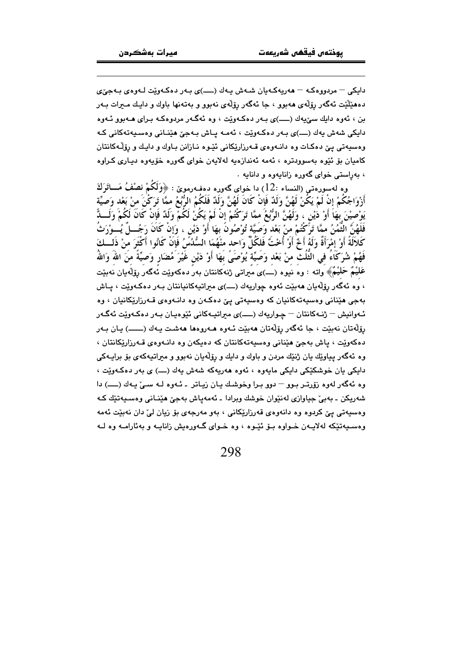دابکي – مردووهکه – ههريهکهبان شهش بهك (ــــ)ي بهر دهکهوٽت لـهوهي بـهجےّي دههێڵێت ئەگەر رۆلەي ھەبور ، جا ئەگەر رۆلەي نەبور و بەتەنھا باوك و دايـك مـىرات بـەر ین ، ئەوە دابك سے بەك (ــــ)ى بـەر دەكـەوپّت ، وە ئەگـەر مردوەكـە بـراى ھـەبوو ئـەوە دابکی شەش بەك (ــــ)ى بـەر دەكـەوێت ، ئەمـە يـاش بـەجىّ ھێنـانى وەسىيەتەكانى كـە وهسپهتي يئ دهکات وه دانـهوهي قـهرزارێکاني ئێـوه نـازانن بـاوك و دايـك و رۆڵـهکانتان کامیان بۆ ئێوه بەسوودتره ، ئەمە ئەندازەيە لەلايەن خوای گەورە خۆيەوە ديـارى كـراوە ، بەراستى خواي گەورە زانابەوە و دانابە .

وه لهسورهتي (النساء :12) دا خواي گەورە دەفـەرموێ : ﴿وَلَكُمْ نصْفُ مَــاتَرَكَ أَرْوَاجُكُمْ إِنْ لَمْ يَكُنْ لَهُنَّ وَلَدٌ فَإِنْ كَانَ لَهُنَّ وَلَدٌ فَلَكُمُ الرُّبُعُ ممَّا تَرَكْنَ منْ بَعْد وَصيّة يَوْصِيْنَ بِهَا أَوْ دُيْنِ ، وَلَهُنَّ الرُّبُعُ ممَّا تَرَكْتُمْ إِنَّ لَمْ يَكُنْ لَكُمْ وَلَدٌ فَإِنْ كَانَ لَكُمْ وَلَــدًّا فَلَهُنَّ الثَّمُنُ ممَّا تَرَكْتُمْ منْ بَعْد وَصَيَّة تُوْصُونَ بهَا أَوْ دَيْن ، وَإنْ كَانَ رَجُـــلٌ يُــوْرَثُ كَلاَلَةً أَوْ إِمْرَأَةٌ وَلَهُ أَخٌ أَوْ أُحْتٌ فَلكُلِّ وَاحِد مِنْهُمَا السُّدُسُ فَإِنْ كَانُوا أَكْثَرَ منْ ذَلــكَ فَهُمْ شُرَكَاءُ في الثُّلُثُّ منْ بَعْد وَصَيِّة يُوْصَىً بَهَا أَوْ دَيْنِ غَيْرَ مُضَارٍ وَصيّةً منَ اللهَ وَاللهُ عَلَيْمٌ حَلَيْمٌ﴾ واته : وه نبوه (\_)ى مُيراتى ژنهكانتان بهرٌ دهكهويّت ئُهگهر رؤلُه يان نهبيّت ، وه ئەگەر رۆلەيان ھەبێت ئەوە چواريەك (ــــ)ى مىراتيەكانيانتان بـەر دەكـەوێت ، يـاش بهجي هێناني وهسيهتهکانيان که وهسيهتي پيّ دهکهن وه دانـهوهي قـهرزارێکانيان ، وه ئـهوانيش — ژنـهکانتان — چـواريهك (ـــــ)ي ميراتيـهکاني ئێوهيـان بـهر دهکـهوێت ئهگـهر رۆلەتان نەبێت ، جا ئەگەر رۆلەتان ھەبێت ئـەوە ھـەروەھا ھەشىت يـەك (ــــــ) يـان بـەر دهکەوپّت ، پاش بەجىّ ھێنانى وەسپەتەکانتان کە دەپکەن وە دانـەوەي قـەرزارێکانتان ، وه ئهگهر پياوێك پان ژنێك مردن و باوك و دايك و رۆلّەيان نەبوو و مېراتيەكەي بۆ برايــەكى دایکی یان خوشکێکی دایکی مایهوه ، ئهوه ههریهکه شهش یهك (ـــ) ی بهر دهکهوێت ، وه ئهگەر لەوه رۆرتىر بىوو – دوو بىرا وخوشك يان زياتر - ئـەوە لـه سـى يـەك (ــــ) دا شهريکن ۔ بهبيٰ جياوازي لهنٽوان خوشك وبرادا ۔ ئهمهپاش بهجيٰ هێنـاني وهسـيهتێك کـه وهسپەتى يې كردوه وه دانەوەي قەرزارێكانى ، بەو مەرجەي بۆ زيان لې دان نەبێت ئەمە وهسـيهتێکه لهلايـهن خـواوه بــۆ ئێـوه ، وه خــواى گــهورهيش زانايــه و بهئارامــه وه لــه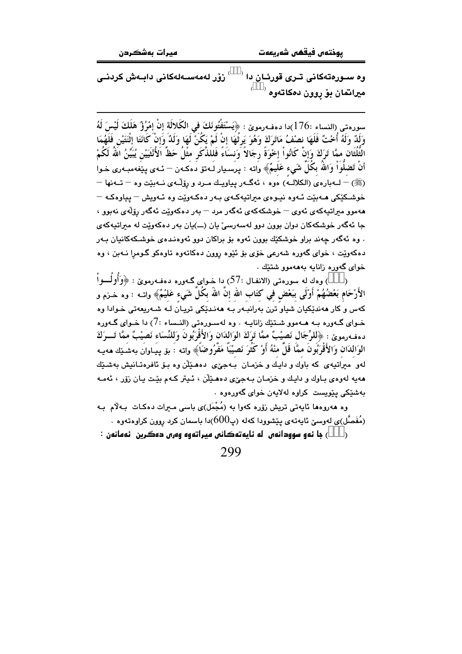<sup>6</sup> زۆر لەمەسـەلەكانى دابـەش كردنـى وه سـورهتهکانی تـری قورئـان دا <sup>(</sup> ميراتمان بۆ ړوون دەكاتەوە <sup>(</sup>

سورەتى (النساء :176)دا دەفەرمويّ : ﴿يَسْتَفْتُونَكَ فِي الكَلالَة إِنْ إِمْرُوٌّ هَلَكَ لَيْسَ لَهُ وَلَدٌ وَلَهُ أُحْتٌ فَلَهَا نصْفُ مَاتَرَكَ وَهُوَ يَرِثُهَا إِنْ لَمْ يَكُنْ لَهَا وَلَدٌ وَإِنْ كَانَتَا إثْنَتَيْن فَلَهُمَا الثُّلُثان ممَّا تَرَكَ وَإنْ كَانُواْ إخْوَةً رجَالاً وَنسَاءً فَللْذَّكَر مثْلُ حَظٍّ الأُنْثَيَيْن يُبَيِّنُ اللهُ لَكُمْ أنْ تَضلُّواْ وَاللَّهُ بكُلِّ شَيء عَلَيمٌ﴾ واته : پرسيار لَـهتق دهكـهن – ئـهى پێغَهمبـهرى خـوا (ﷺ) – لــه باره ي (الكلالــه) هوه ، ئه گــه ر بياويــك مــرد و رۆڵــه ي نــه بيّت وه – تــه نها – خوشـکێکی هــه بێت ئــهوه نيــوهي مىراتيهکـهي بـهر دهکـهوێت وه ئــهويش – پياوهکـه – .<br>ھەمور مېراتيەكەي ئەوي – خوشكەكەي ئەگەر مرد – بەر دەكەوپّت ئەگەر رۆلەي نەبور ، جا ئەگەر خوشكەكان دوان بوون دوو لەسەرسى ّ يان (ــ)يان بەر دەكەوێت لە مىراتپەكەي . وه ئەگەر چەند براو خوشكێك بوون ئەوە بۆ براكان دوو ئەوەنىدەي خوشىكەكانيان بـەر دهکهويّت ، خوای گهوره شهرعي خوّی بوّ ئيّوه روون دهکاتهوه تاوهکو گـومرا نـهين ، وه خواي گەورە زانايە بەھەموو شتێك .

) وهك له سورهتي (الانفال :57) دا خـواي گـهوره دهفـهرمويّ : ﴿وَأُولُـــواْ الأَرْحَام بَعْضُهُمْ أَوْلَى بَبَعْضٍ في كَتَابِ اللهِ إنَّ اللهَ بكُلِّ شَيءٍ عَلَيْمٌ﴾ واتــه : وه خـزم و کهس و کار مهندیکیان شیاو ًترن به رانبـهر بـه مهندیکی تریـان لـه شـهریعهتی خـوادا وه خــوای گــهوره بــه هــهموو شــتێك زانايــه . وه لهســورهتي (النــساء :7) دا خــوای گــهوره دهف رمويِّ : ﴿للرِّجَالِ نَصِيْبٌ ممَّا تَرَكَ الوَاللَّانِ وَالأَقْرَبُونَ وَللنِّسَاءِ نَصِيْبٌ ممَّا تَــرَكَ الوَاللاَان وَالأَقْرَبُونَ ممَّا قَلَّ منْهُ أَوْ كَثُرَ نَصيْبَاً مَفْرُوضَاً﴾ واته : بق ييـاوانَ بهشـێك ههيـه .<br>لهو ً میراتیهی که باوك و دایـك و خزمـان بـهجیی دهـمـیّلن وه بــوّ ئافرهتـانیش بهشـیّك ههبه لهوهي بياوك و دابيك و خزميان بيهجري دههيلٽن ، ئيبتر كيهم بيّت بيان زوّر ، ئهميه .<br>بەش<u>ت</u>كى ي<u>تو</u>يست كراوە لەلايەن خوا*ى* گەورەوە .

وه هەروەها ئايەتى تريش زۆرە كەوا بە (مُجْمَل)ى باسى مـبرات دەكـات بـﻪلاّم بـﻪ (مُفَصَّل)ی لهوسیؒ ئابهتهی بیٚشوودا کهله (پ $600$ دا باسمان کرد روون کراوهتهوه  $\cdot$ 

ر ه پې د او سوودانه مله نايه ته کاني ميراته وه وهري ده گرين انه مانهن :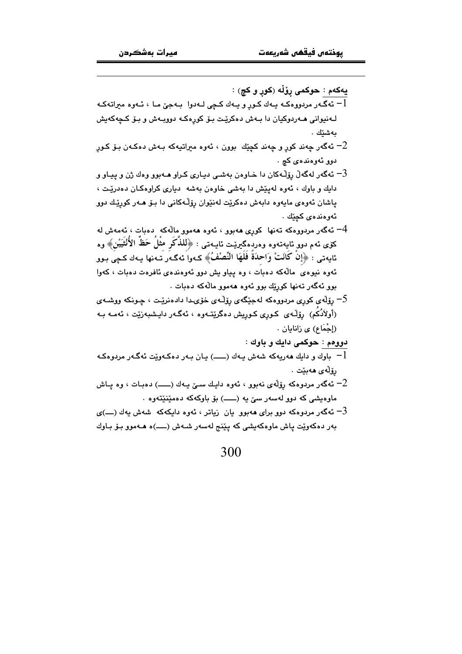يهكهم : حوكمي رۆڵه (كور و كچ) :

ئەگـەر مردووەكـە يـەك كـور و يـەك كـچى لـەدوا بـەجێ مـا ، ئـەوە مىراتەكـە  $-1\,$ لـهنيواني هـهردوکيان دا بـهش دهکرييت بـوّ کورهکـه دووبـهش و بـوّ کـچهکهيش ىەشتك .

ئهگەر چەند كور و چەند كچێك بوون ، ئەوە مېراتيەكە بـەش دەكـەن بـۆ كـور  $\!-2$ دوو ئەوەندەي كچ .

ئهگەر لەگەلّ رۆڭەكان دا خـاوەن بەشـى ديـارى كـراو ھـەبوو وەك ژن و پيـاو و $\mathcal 3$ دايك و باوك ، ئەوە لەيێش دا بەشى خاوەن بەشە ديارى كراوەكـان دەدرێت ، ياشان ئەوەي مايەوە دابەش دەكريت لەنيوان رۆلّەكانى دا بىۆ ھـەر كوريّك دوو ئەوەندەي كچێك .

- ئەگەر مردووەكە تەنھا كورى ھەبوو ، ئەوە ھەموو مالّەكە دەبات ، ئەمەش لە $\,$ كۆي ئەم دوو ئايەتەوە وەردەگىرێت ئايـەتى : ﴿للذَّكَرِ مَثْلُ حَظِّ الأُنْثَيَيْنِ﴾ وە ئايەتى : ﴿إِنْ كَانَتْ وَاحِدَةً فَلَهَا النِّصْفُ﴾ كـهوا ئەگـهور تـهنها يـهك كـجى بـوو ئەوە نيوەى مالّەكە دەبات ، وە پياو يش دوو ئەوەندەى ئافرەت دەبات ، كەوا بوو ئەگەر تەنھا كورێك بوو ئەوە ھەموو مالەكە دەبات .
- رۆلەى كورى مردووەكە لەجێگەى رۆلّەى خۆىدا دادەنرێت ، چـونكە ووشـەى  $\mathcal{-}5$ (أولاَلُكُم) رۆڵـﻪى كـورى كـوريش دەگرێتـﻪوە ، ئەگـﻪر دايـشىبەزێت ، ئـﻪمـﻪ بـﻪ (إجْمَاع) ي زانايان .

دووهم : حوکمی دایك و باوك :

- باوك و دايك ھەريەكە شەش يـەك (ــــــ) يـان بـەر دەكـەوێت ئەگـەر مردوەكـە  $\,-1$ رۆلە*ى ھ*ەبێت .
- ئەگەر مردوەكە رۆلّەي نەبوو ، ئەوە دايىك سىيّ يـەك (ــــــ) دەبـات ، وە پـاش $\,$ ماوهیشی که دوو لهسهر سیّ په (ــــ) بۆ باوکهکه دهمیْنیْتهوه .
- بەر دەكەوپت ياش ماوەكەيشى كە يێنج لەسەر شىەش (ــــ)ە ھـەموو بـۆ بـاوك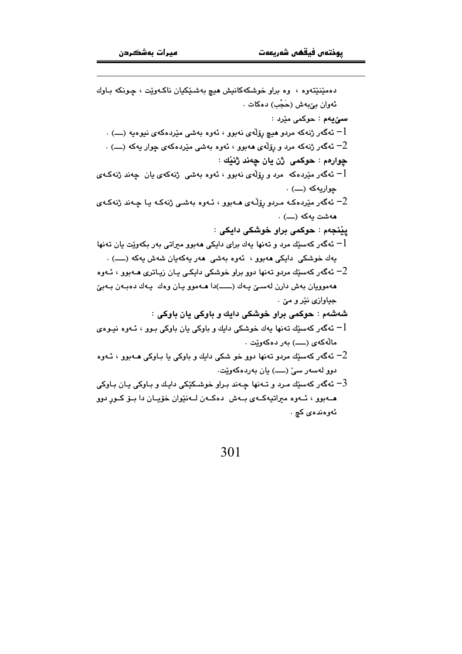| دهمێنێتهوه ، وه براو خوشکهکانیش هیچ بهشـێکیان ناکـهوێت ، چـونکه بـاوك                             |
|---------------------------------------------------------------------------------------------------|
| ئەوان بێبەش (حَجْب) دەكات .                                                                       |
| <b>سێي</b> ەم : حوكمى مێرد :                                                                      |
| . شگەر ژنەكە مردو ھيچ رِۆڵەى نەبوو ، ئەوە بەشى مێردەكەى نيوەيە (ــــ) $1\,$                       |
|                                                                                                   |
| چوارهم : حوکمی  ژن يان چەند ژنێك :                                                                |
| ئەگەر مێردەكە  مرد و ڕۆڵەى نەبوو ، ئەوە بەشى  ژنەكەى يان  چەند ژنەكـەى $-1\,$                     |
| چواريەكە (ــــ) .                                                                                 |
| ئەگەر مێردەكە مىردو پۆڵەى ھـەبوو ، ئـەوە بەشىي ژنەكـە يـا چـەند ژنەكـەى $\!-2$                    |
| مەشت يەكە (ـــ) .                                                                                 |
| پِيْنجەم : حوكمى براو خوشكى دايكى :                                                               |
| ئهگەر كەسێك مرد و تەنھا يەك براى دايكى ھەبوو مىراتى بەر بكەوێت يان تەنھا $-1$                     |
| یەك خوشكى  دايكى ھەبوو ،  ئەوە بەشى  ھەر يەكەيان شەش يەكە (ـــــ) .                               |
| ئهگەر كەسێك مردو تەنھا دوو براو خوشكى دايكى يـان زيـاترى مـەبوو ، ئـەوە $-2\,$                    |
| ههموويان بهش دارن لهسـێ يـهك (ــــــ)دا هـهموو يـان وهك  يـهك دهبـهن بـهبێ                        |
| جياوازي نێر و مێ ٠                                                                                |
| شەشەم : حوكمى براو خوشكى دايك و باوكى يان باوكى :                                                 |
| ٹهگەر كەسێك تەنھا يەك خوشكى دايك و باوكى يان باوكى بـوو ، ئـەوە نيـوەي $-1$                       |
| مالّەكەي (ــــ) بەر دەكەوێت .                                                                     |
| ئهگەر كەسێك مردو تەنھا دوو خو شكى دايك و باوكى يا بـاوكى ھـﻪبوو ، ئـﻪوە $-2\,$                    |
| دوو لەسەر سىٚ (ـــــ) يان بەردەكەوێت.                                                             |
| ئهگەر كەسێك مـرد و تـﻪنها چـﻪند بـراو خوشـكێكى دايـك و بـاوكى يـان بـاوكى $\mathbin{\text{--}} 3$ |
| هــهبوو ، ئــهوه ميراتيهكــهى بــهش  دهكــهن لــهنێوان خۆيــان دا بــۆ كــوړ دوو                  |
| ئەوەندەى كچ .                                                                                     |
|                                                                                                   |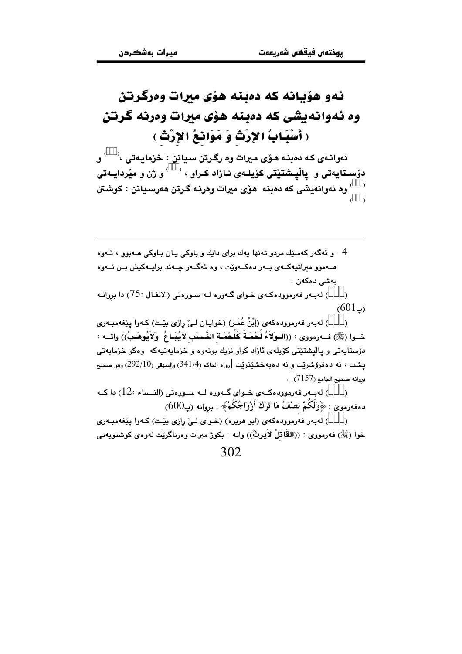# ئهو هويانه كه دهبنه هوّي ميرات وەرگرتن وه ئهوانهيشي كه دهبنه هوّي ميرات ومرنه گرتن ( أَسْبَابُ الإِرْثُ وَ مَوَانِعُ الإِرْثُ )

ئهوانـهي کـه دهبنـه هـوّي مـيرات وه رگـرتن سـيانن : خزمايـهتي ،` \_ ` و دۆستايەتى و ياڵيشتێتى كۆيلـەى ئـازاد كـراو ، <sup>‹ ،</sup> و ژن و مێردايـەتى وه ئهوانهيشي که دهينه هوّي ميرات وهرنه گرتن ههرسيانن : کوشتن  $\cdot$ 

و ئەگەر كەسىيّك مردو تەنھا يەك براي دايك و باوكى يـان بـاوكى ھـەبوو ، ئـەوە  $\!-\!4$ هــهموو میراتیهکــهی بــهر دهکــهوییت ، وه ئهگــهر چــهند برایــهکیش بــن ئــهوه بەشى دەكەن .

) لەبـەر فەرموودەكـەي خـواي گـەورە لـە سـورەتى (الانفـال :75) دا بروانـە  $\rightarrow$  $(601)$ 

) لهبهر فهرموودهکهی (إِبْنُ عُمَرٍ) (خوایان لـیْ رِازی بیْـتِ) کـهوا پی٘فهمبـهری  $\lambda$ خــوا (ﷺ) فــهرمووي : ((الــوَلاَءُ لُحْمَـةٌ كَلُحْمَـة النَّـسَبِ لابْنَــاعُ ۖ وَلاَبُوهَـبُ)) وإتــه : دۆستايەتى و يالْيشتێتى كۆيلەي ئازاد كراو نزيك بونەوە و خزمايەتيەكە وەكو خزمايەتى پشت ، نه دهفرۆشرييت و نه دهېهخشنينرييت [رواه الحاكم (341/4) والبيهقى (292/10) وهو صحيح  $\sim$ روانه صحيح الجامع (7157) .

) لەببەر فەرموودەكبەي خىواي گىەورە لىە سىورەتى (النىساء :12) دا كىە دەفەرموێ : ﴿وَلَكُمْ نصْفُ مَا تَرَكَ أَزْوَاجُكُمْ﴾ . بروانه (بِ600)

) لهبهر فهرموودهکهی (ابو هریره) (خوای لیّ رازی بیّت) کهوا ییّفهمبهری خوا (ﷺ) فەرمووى : ((ا**لقَاتلُ لاَيرِثْ**)) واتە : بكوژ ميرات وەرناگرێت لەوەى كوشتويەتى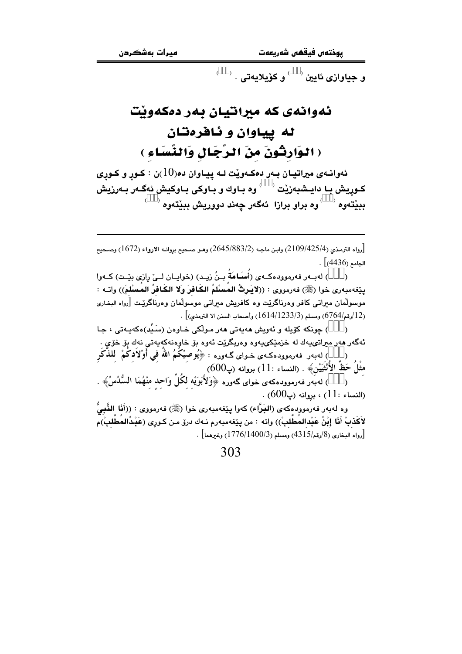$\overset{\text{()}}{\longrightarrow}$ و جياوازی ئايين  $\overset{\text{()}}{\longrightarrow}$ و کۆيلايەتى .

# ئەوانەي كە مېراتيان بەر دەكەويت له پیاوان و ئافرەتان ( الوَارِثُونَ مِنَ الرِّجَالِ وَالنِّسَاءِ )

ئەوانــەي ميراتيــان بــەر دەكــەوێت لــە ييــاوان دە $(10)$ ن : كــور و كــوري کـوریش بـا دایـشبهزیْت <sup>( )</sup> وه بـاوك و بـاوكى بـاوكیش ئهگـهر بـهرزیش  $^{\backslash}$  ببيّتهوه  $^{\backslash}$ وه براو برازا ً ئهگهر چهند دووريش ببيّتهوه

رواه الترمذي (2109/425/4) وابن ماجه (2645/883/2) وهو صـحيح بروانـه الارواء (1672) وصـحيح  $^2$  $\frac{1}{2}$ الحامع (4436).

) لهيـهر فهرموودهكـهي (اُسـَـامَةُ سِنُ زِيـد) (خوابـان لـيِّ رازي بِيّـت) كـهوا  $\lambda$ ييّفهمبهري خوا (ﷺ) فهرمووي : ((لايَـرِثُ المُسلّمُ الكَـافرَ وَلا الكَـافرُ المُسلّمَ)) واتـه : موسولِّمان معراتي كافر وەرناگرێت وە كافريش معراتي موسولِّمان وەرناگرێت [رواه البخاري  $\big\{ \frac{1}{2}, \frac{1}{2} \big\}$ رقم/6764) ومسلم (1233/3/3) ، أصحاب السنن الا الترمذي)  $\big\}$ 

) چونکه کۆیله و ئەویش ھەیەتی ھەر مـولّکی خـاوەن (سَـيِّد)ەکەپـەتی ، جـا ئەگەر ھەر مېراتىپيەك لە خزمێكىييەوە وەربگرێت ئەوە بۆ خاوەنەكەيەتى نەك بۆ خۆى . ٍ ) له به ر فه رموود هکـهى خـواى گـهوره : ﴿يُوصيْكُمُ اللَّهُ فِي أَوْلاَدكُمْ للذَّكَر  $(600, \downarrow)$  مَثْلُ حَظٌّ الأُنْثَيَيْن $\ddot{*}$  . (النساء :11) بروانه (پ

) لهبَهْر فهرموودهكهى خواى گەورە ﴿وَلأَبَوَيْه لَكُلِّ وَاحد منْهُمَا السُّدُسُ﴾ .  $\lambda$  $(11:600)$  (النساء) ( $11:1$ )

وه لهبهر فهرموودهكهى (البَرَّاء) كهوا يێغهمبهرى خوا (ﷺ) فهرمووى : ((أَنَا النَّبِيُّ لاَكَذَبْ أَنَا إِبْنُ عَبْدالمطلبِْ)) واته : من يێفەمبەرم نـهك درۆ مـن كـورى (عَبْـدُالمطلبِّ)م  $\big[1776/1400/3)$ رقم  $\big[8\big]$ رقم (4315) ومسلم (1776/1400) وغيرهما $\big]$  .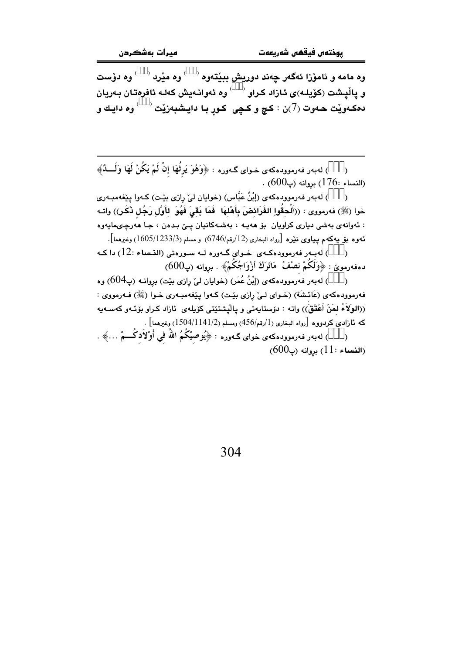وه مامه و ئامۆزا ئەگەر چەند دوريش ببێتەوه  $\langle\quad\rangle$ وه مێرد  $\langle\quad\rangle$ وه دۆست و پاڵپشت (كۆيلـه)ى ئـازاد كـراو $\overset{(-)}{=}$ وه ئـهوانـهيش كـهـلـه ئافرەتـان بـهريان دهکـهوێت حـهوت (7)ن : کـچ و کـچی کـورِ بـا دايـشبـهزێت  $\langle\quad\rangle$  وه دايـك و

) لەبەر فەرموودەكەي خـواي گـەورە : ﴿وَهُوَ يَرِثُهَا إِنْ لَمْ يَكُنْ لَهَا وَلَـــدٌ﴾  $\lambda$  $(600)$ النساء :176) بروانه (ب

) لهبهر فهرموودهكهي (إِبْنُ عَبَّاس) (خوايان ليْ رازي بيْت) كـهوا ييْغهمبـهري  $\overline{\phantom{a}}$ خوا (ﷺ) فەرمووى : ((أَلْحقُوا ٍ الفَرَائضَ بِأَهْلِهَا ۖ فَمَا بَقِيَ فَهُوَ ۖ لِأَوَّلِ رَجُلٍ نُكَرِ)) وات .<br>: ئەوانەي بەشى ديارى كراويان بۆ ھەيـە ، بەشـەكانيان پـێ بـدەن ، جـا ھەرچـىمايەوە ئـهوه مِق يـهكهم يـيـاوى نـێره [رواه البخارى (12/رقم/6746) و مسلم (1605/1233/3) وغيرهما].

) لهبهر فهرموودهکهی خوای گهوره لـه سـورهتی (الفـساء :12) دا کـه  $\rightarrow$ دەڧەرموێ : ﴿وَلَكُمْ نصْفُ ۚ مَاتَرَكَ أَزْوَاجُكُمْ﴾ . بروانه (پ600)

) له به ر فه رمووده که ی (إِبْنُ عُمَرٍ) (خوایان لی رازی بیّت) بروانـه (پ604) وه فهرموودهکهی (عَائشَة) (خـوای لـیِّ رازی بێت) کـهوا پێغهمبـهری خـوا (ﷺ) فـهرمووی : ((الوَلاَءُ لمَنْ أَعْتَقَ)) واته : دۆستايەتى و يالْيشتێتى كۆيلەي ئازاد كـراو بۆئـەو كەسـەيە كه مازادى كردووه [رواه البخارى (1/رقم/456) ومسلم (1/141/141) وغيرهما] .

) له به ر فه رمووده که ی خوای گ $\epsilon$ وره : ﴿يُوصيْكُمُ اللّهُ في أَوْلَادكُــــمْ …﴾ .  $\lambda$  $(600)$  (النساء) ( $11:$  بروانه)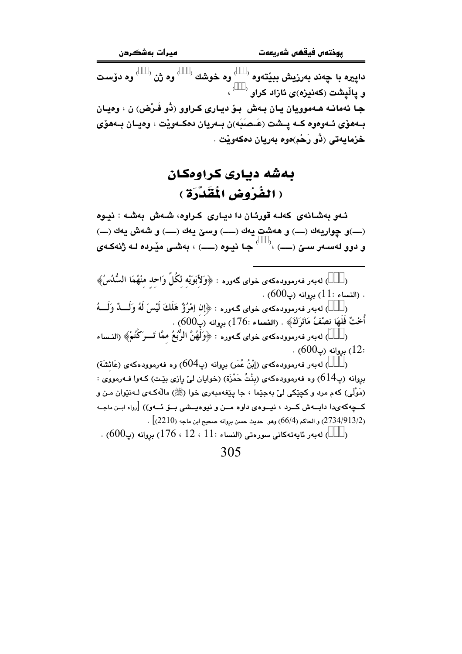داييره با چەند بەرزيش بېيّتەوه  $\mathfrak{g}\subset \mathfrak{g}$ وه خوشك  $\mathfrak{g}\subset \mathfrak{g}$ وه تن  $\mathfrak{g}\subset \mathfrak{g}$ و دۆست و پالْپِشْت (كەنيزە)ى ئازاد كراو <sup>( \_\_)</sup>، جـا ئهمانـه هـهموويان يـان بـهش بـوّ ديـاري كـراوو (ذُو فَـرْض) ن ، وهيـان بـههوّي ئـهوهوه كــه يــشت (عَــصَبَه)ن بـهريان دهكـهويّت ، وهيــان بــههوّي خزمايەتى (دُو رَحْم)ەوە بەريان دەكەوێت .

## پهشه دیاری کراوهکان ( الفُرُوضِ الْمُقَدَّرَةِ )

ئـهو بهشـانهى كهلـه قورئـان دا ديـارى كـراوه، شـهش بهشـه : نيـوه (ـ)و چواريهك (ـــ) و ههشت يهك (ــــ) وسيّ يهك (ــــ) و شهش يهك (ـــ) و دوو لەسمەر سىئ (ــــ) ، ` ` جا نيبوه (ـــــ) ، بەشى مێردە لـه ژنەكـەي

) لەبەر فەرموودەكەي خواي گەورە : ﴿وَلاَبُوَيْه لَكُلِّ وَاحد منْهُمَا السُّدُسُ﴾  $\lambda$ . (النساء :11) بروانه (پ600) .

) لەبەر فەرموودەكەي خواي گەورە : ﴿إِنْ إِمْرُؤٌ هَلَكَ لَيْسَ لَهُ وَلَـــدٌ وَلَـــهُ أَخْتٌ فَلَهَا نصْفُ مَاتَرَكَ﴾ . (النساء :176) بروانه (پ600) .

.<br>) له به ر فه رمووده که ی خوای گـهوره : ﴿وَلَهُنَّ الرُّبُعُ ممَّا تَـــرَكْتُمْ﴾ (النساء  $\lambda$ . (12) بروانه (ب600) .

) له به ر فه رمووده که ی (اِنْنُ عُمَر) بروانه (پ $604$ ) وه فه رمووده که ی (عَائِشَة)  $\,$  $\lambda$ بروانه (پ614) وه فەرموودەكەي (بِنْتُ حَمْزَة) (خوايان ليّ رازي بِيّت) كـەوا فـەرمووي : (مَوْلَى) که م مرد و کچێکی ليٰ بهجێما ، جا پێغهمبهري خوا (ﷺ) ماڵهکـهي لـهنێوان مـن و کــچەکەيدا دابــەش کــرد ، نيــوەي داوه مــن و نيوەيــشى بــۆ ئــەو)) [رواه ابـن ماجــه . (2734/913/2) و الحاكم (66/4) وهو حديث حسن بروانه صحيح ابن ماجه (2210) .

) له به رئايه ته كانى سورهتى (النساء :11 ، 12 ، 176) بروانه (پ600) .  $\lambda$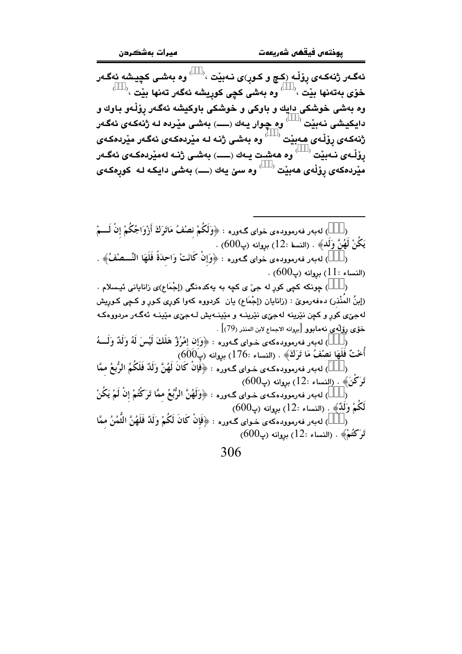ئەگـەر ژنەكـەى پۆڵـە (كـچ و كـوڕ)ى نـەبێت <sup>،‹ )</sup> وە بەشـى كڃيـشە ئەگـەر  $\rightarrow$ خۆی بەتەنھا بێت $\rightarrow$ وہ بەشی کچی کوریشە ئەگەر تەنھا بێت وه بهشی خوشکی دایك و باوکی و خوشکی باوکیشه ئهگهر رۆڵەو باوك و دايكيشى نـﻪبێت $\check{\phantom{a}}^{\phantom{\dag}}$ وه چـوار يـﻪك (ــــ) بەشـى مێـردە لـﻪ ژنـﻪكـﻪى ئـﻪگـﻪر ژنهکهی رۆڵهی هـهبێت <sup>( )</sup> وه بهشـی ژنـه لـه مێردهکـهی ئهگـهر مێردهکـهی رۆلّــهي نــهبيّت ` ` وه هـهشــت بــهك (ـــــــ) بـهشــي ژنــه لـهميّـردهكــهي ئـهگــهر مێردهکەی رِۆڵەی ھەبێت <sup>‹ ˈ</sup> وە سێ يەك (ـــ) بەشى دايكە لـە كورەكـەی

) لهبهر فهرموودهى خواى گـهوره : ﴿وَلَكُمْ نصْفُ مَاتَرَكَ أَزْوَاجُكُمْ إِنْ لَـــمْ يَكُنْ لَهُنَّ وَلَد» . (النسا :12) بروانه (پ600) .

) لهبهر فهرموودهى خواى گـهوره : ﴿وَإِنْ كَانَتْ وَاحِدَةً فَلَهَا النِّـــصْفْنُ﴾ .  $\lambda$  $(600)$  (النساء : 11) بروانه (پ)

) چونکه کچی کور له جیّ ی کچه به یهکدهنگی (إِجْمَاع)ی زانایانی ئیسلام . (إبنُ المُنْذر) دەفەرموێ : (زانايان (إجْمَاع) يان كردووە كەوا كورى كـور و كـڃى كـوريش لهجيّی کور و کچن نێرينه لهجيّی نێرينـه و مێينـهيش لـهجيّی مێينـه ئهگـهر مردووهکـه خَوِّي رِوْلُه ي نه مابوو [بروانه الاجماع لابن المنذر (79)] .

) لەبەر فەرموودەكەي خـواي گـەورە : ﴿وَإِنْ إِمْرُوٌّ هَلَكَ لَيْسَ لَهُ وَلَدٌ وَلَـــهُ أَخْتٌ فَلَهَا نصْفُ مَا تَرَكْ﴾ . (النساء :176) بروانه (پَ $600$ )

ِ<br>َ ) له به ر فه رموود مکهى خـواى گـهوره : ﴿فَإِنْ كَانَ لَهُنَّ وَلَدٌ فَلَكُمُ الرُّبعُ ممَّا  $(600)$  تَوَكَّنَ﴾ . (النساء :12) بروانه (پ ) له به رفه رمووده کـهى خـواى گـهوره : ﴿وَلَهُنَّ الرُّبُعُ ممَّا تَرَكْتُمْ إِنْ لَمْ يَكُنْ

لَكُمْ وَلَٰدٌ﴾ . (النساء :12) بروانه (پ600) ) له به ر فه رمووده که ی خـوای گـهوره : ﴿فَإِنْ كَانَ لَكُمْ وَلَدٌ فَلَهُنَّ النُّمُنُ ممَّا

 $(600)$  تَوَكَّتُمْ﴾ . (النساء :12) بروانه (پ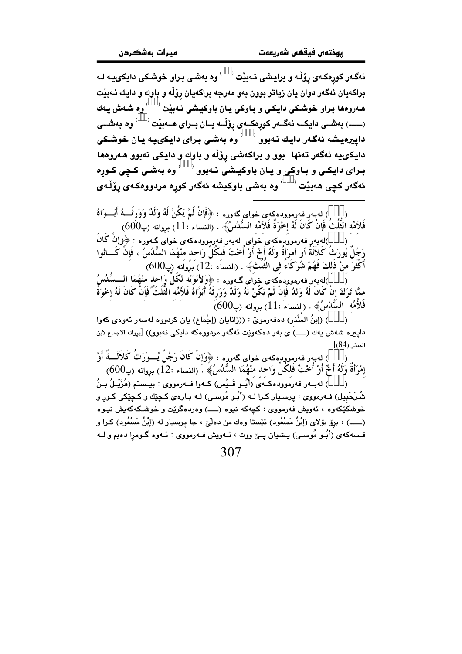ئەگـەر كورەكـەي رۆڵـە و برايـشى نـەبێت <sup>‹ 6</sup> وە بەشـى بـراو خوشـكى دايكىيـە لـە براکهيان ئهگەر دوان يان زياتر بوون بەو مەرجە براکەيان رۆڵە و باوك و دايك نـﻪبێت هـهروهها بـراو خوشـكي دايكـي و بـاوكي يـان باوكيـشي نـهبيّت <sup>( \_\_)</sup> وه شـهش يـهك داييرهيشه ئەگەر دايك نەبور  $\epsilon^{(-)}$ وه بەشى براي دايكىيـه يـان خوشكى دایکییه ئهگەر تەنها ً بوو و براکەشی رۆڵە و باوك و دایکی نەبوو ھەروەھا بـرای دایکـی و بـاوکی و یـان باوکیـشی نـهبوو <sup>( )</sup> وه بهشـی کـچی کـوره ئەگەر كچى ھەبێت <sup>‹ 6</sup> وە بەشى باوكيشە ئەگەر كورە مردووەكەى پۆڵەى

( پِيِي) له بِه رِ فه رِموود مكه ي خواي گهوره : ﴿فَإِنْ لَمْ يَكُنْ لَهُ وَلَدٌ وَوَرِثَـــهُ أَبَـــوَاهُ فَلأَمِّه الثَّلُثُ فَإِنْ كَانَ لَهُ إِحْوَةٌ فَلأُمِّه السُّدُسُ﴾ . (النساء :11) بروانه (پ600)

ِ )له به رِ فه رمووَدِه که ی خَوَای ِ له به ر فه رمووده که ی خوای گـه وره : ﴿وَإِنْ کَانُ رَجُلٌ يُورَثُ كَلاَلَةً أو أمرَأةٌ وَلَهُ أَخٌ أَوْ أُخْتٌ فَلكُلِّ وَاحد منْهُمَا السُّدُسُ ، فَإِنْ كَـــالوا أَكْثَرَ منْ ذَلكَ فَهُمْ شُرَكَاءُ في الثُّلُثْ﴾ . (النساء :12) بَرِواَنه (بِ600)

)لهبهر فهرموودهَكَهى خواَى گـهوره : ﴿وَلأَبَوَيْهُ لَكُلِّ وَاحِد منْهُمَا الْـــسُّدُسُ ممَّا تَرَكَ إِنْ كَانَ لَهُ وَلَدٌ فَإِنْ لَمْ يَكُنْ لَهُ وَلَدٌ وَوَرِثَهُ أَبَوَاهُ فَلأَمِّه الثُّلُثَ فَإَنْ كَانَ لَهُ إخْوَةٌ  $\delta(600)$  فَلأُمِّه السُّلُسُ﴾ . (النساء $11:1$ ) بروانه (پ

) (إبنُ المُنْذر) دەفەرموێ : ((زانايان (إجْمَاع) يان كردووە لەسەر ئەوەي كەوا  $\overline{)}$ المنذر (84)]

) لهېډر فهرموډر دکهي خواي گهوره : ﴿وَإِنْ كَانَ رَجُلٌ يُسوْرَتُ كَلاَلَـــةً أَوْ إِمْرَأَةً وَلَهُ أَخٌ أَوْ أَحْتٌ فَلَكَلِّ وَاحِدٍ مِنْهُمَا السُّدُسُ﴾ . (النساء :12) بروانه (بِ600)

) لهبـهر فهرموودهكــهُـىَ (أَبُــو قَــيْس) كــهوا فــهرمووى : بيــستم (هُزَيْــلُ بــنُ  $\lambda$ شُرِحْبِيل) فـهرمووی : پرسـڀار کـرا لـه (أَبُـو مُوسـی) لـه بـاره $\zeta$  کـچێك و کـچێکی کـور و خوشکێکەوە ، ئەويش فەرمووى : کچەکە نيوە (ـــــ) وەردەگرێت و خوشىکەکەيش نيـوە (ــــــ) ، برۆ بۆلاى (إِبْنُ مَسْعُود) ئێستا وەك من دەلٚێ ، جا پرسپار له (إِبْنُ مَسْعُود) كـرا و قـسهکهی (أَبُــو مُوســي) يــشيان پـــێ ووت ، ئــهويش فــهرمووی : ئــهوه گــومرا دهبم و لــه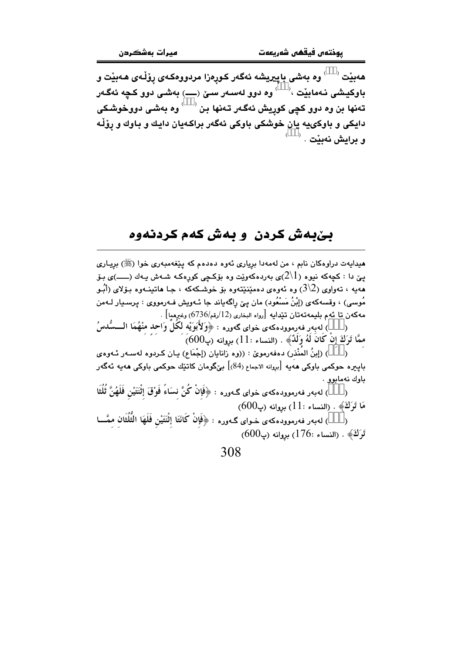هەبێت $\sim$ وه بەشى باييريشە ئەگەر كـورەزا مردووەكـەي رۆڵـەي ھـەبێت و باوکیشی نـهمابیّت ، $\rightarrow$ وه دوو لـهسـهر سـێ (ــــ) بـهشـی دوو کـچه ئـهگـهر تەنھا بن وہ دوو كچى كورپش ئەگەر تەنھا بن <sup>‹ )</sup> وہ بەشى دووخوشكى دایکی و باوکوییه یان خوشکی باوکی ئهگهر براکهیان دایك و باوك و رۆڵه و برايش نەىٽت . <sup>(</sup>

#### پن دهش کردن و پهش کهم کردنهوه

هیدایهت دراوهکان نابم ، من لهمهدا بریاری ئهوه دهدهم که پێغهمبهری خوا (ﷺ) بریاری يێ دا : کچهکه نيوه  $(2\backslash 1)$ ی بهردهکهوێِت وه بۆکچی کورهکـه شـهش پـهك (ــــــ)ی بـۆ ههيه ، تهواوي (3\3) وه ئەوەي دەمێنێتەوە بۆ خوشـكەكە ، جـا ھاتينـەوە بـۆلاي (أَبُـو مُوسى) ، وقسەكەي (إِبْنُ مَسْعُود) مان يـێ راگەياند جا ئـەويش فـەرمووى : يرسـيار لـﻪمن مەكەن تا ئەم بليمەتەتان تێدايە [رواه البخارى (12/رقم/6736) وغيرهما] .

) له به ر فه رمووده كه ي خواي گهوره : ﴿وَلأَبَوَيْه لَكُلِّ وَاحِد مِنْهُمَا الْـــسُّدسُ ممَّا تَرَكَ إنْ كَانَ لَهُ وَلَدٌ﴾ . (النساء :11) بروانه (بِ600) َ

) (إبنُ المُنْذر) دەفەرموێ : ((وە زانايان (إجْمَاع) يـان كـردوە لەسـەر ئـەوەي  $\lambda$ بايبره حوكمي باوكي هەُيە [بروانه الاجماع (84)] بێگومان كاتێك حوكمي باوكي هەيە ئەگەر باوك نەمابوو .

۔<br>﴾ لەبەر فەرموودەكەي خواي گەورە : ﴿فَإِنْ كُنَّ نسَاءً فَوْقَ إِثْنَتَيْنِ فَلَهُنَّ ثُلُثَا  $\rightarrow$ هَا تَوَلَّكَ» . (النساء :11) بروانه (پ600)

ِ<br>) له به ر فه رمووده که ی خـوای گـهوره : ﴿فَإِنْ كَانَتَا إِثْنَتَيْنِ فَلَهَا النُّلُثَانِ ممَّـــا  $\lambda$  $(600)$  تَوَلَكَ﴾ . (النساء :176) بروانه (پ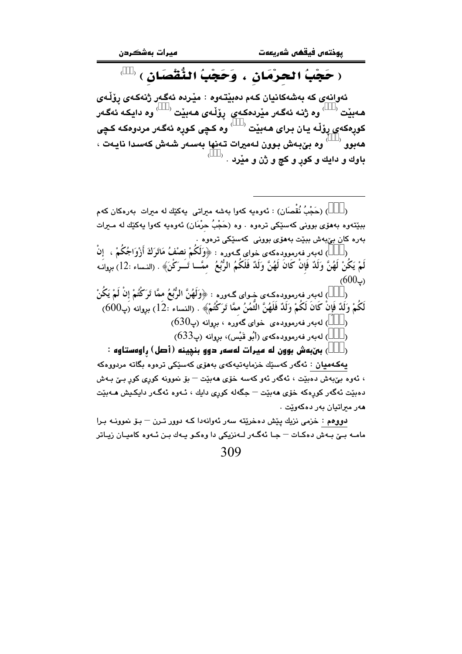#### ( حَجْبُ الحرْمَانِ ، وَحَجْبُ النُّقْصَانِ ) ﴿ ﴾

ئەوانەي كە بەشەكانيان كەم دەبيتەوە : ميردە ئەگەر ژنەكەي رۆلّەي هەبێت $\langle \rangle$ وه ژنـه ئەگـەر مێردەكـەى رۆڵـەى ھـەبێت  $\langle \rangle$ وه دايكـه ئەگـەر کورهکهي روّلّه يان براي هـهبێت <sup>( ۔ )</sup> وه کچي کورِه ئهگـهر مردوهکـه کچي هەبوو  $\langle \quad \rangle$ وه بێبەش بوون لەميرات تەنھا بەسەر شەش كەسدا نايەت ، باوك و دايك و كور و ك<del>ج</del> و ژن و مێرد . <sup>(</sup>

) (حَجْبُ نُقْصَان) : ئەوەيە كەوا بەشە مىراتى يەكێك لە مىرات بەرەكان كەم ببێتەوە بەھۆى بوونى كەسێكى ترەوە . وە (حَجْبُ حرْمَان) ئەوەپە كەوا يەكێك لە مــيرات بەرە كان بى،بەش بېيىت بەھۆى بوونى كەسىيكى ترەوە .

) له به ر فه رموود هکهی خوای گـهوره : ﴿وَلَكُمْ نصْفُ مَاتَرَكَ أَزْوَاجُكُمْ ، ۚ إِنْ لَمْ يَكُنْ لَهُنَّ وَلَدٌ فَإِنْ كَانَ لَهُنَّ وَلَدٌ فَلَكُمُ الرُّبُعُ ممَّــا تَـــرَكْنَ﴾ . (النساء :12) بروانَـه  $(600)$ 

) له به ر فه رموود هکهی خوای گـهوره : ﴿وَلَهُنَّ الرُّبُعُ ممَّا تَرَكْتُمْ إِنْ لَمْ يَكُنْ لَكُمْ وَلَدٌ فَإِنْ كَانَ لَكُمْ وَلَدٌ فَلَهُنَّ الثَّمُنُ ممَّا تَرَكْتُمْ﴾ . (النساء :12) بروانه (پ600)

- ) لەبەر فەرموودەى خواى گەورە ، بروانە (پ $630$ )  $\lambda$ 
	- ) لەيەر فەرموۋدەكەي (أَبُو قَيْس)، بروانە (پـ633)  $\lambda$
- ) بىنبەش بوون لە ميرات لەسەر دوو بنچينە (أصل) راوەستاوە :  $\lambda$

يەكمەميان : ئەگەر كەسێك خزمايەتيەكەي بەھۆى كەسێكى ترەوە بگاتە مردووەكە ، ئەوە بىٌبەش دەبيّت ، ئەگەر ئەو كەسە خۆى ھەبيّت – بۆ نموونە كورى كور بـىّ بـەش دەبێت ئەگەر كورەكە خۆى ھەبێت – جگەلە كورى دايك ، ئـەوە ئەگـەر دايكـيش ھـەبێت هەر مىراتيان بەر دەكەوێت .

دووهم : خزمي نزيك يَيْش دهخريّته سهر ئهوانهدا كـه دوور تـرن – بـوّ نموونـه بـرا مامـه بـێ بـهش دهکـات – جـا ئهگـهر لـهنزيکي دا وهکـو پـهك بـن ئـهوه کاميـان زيـاتر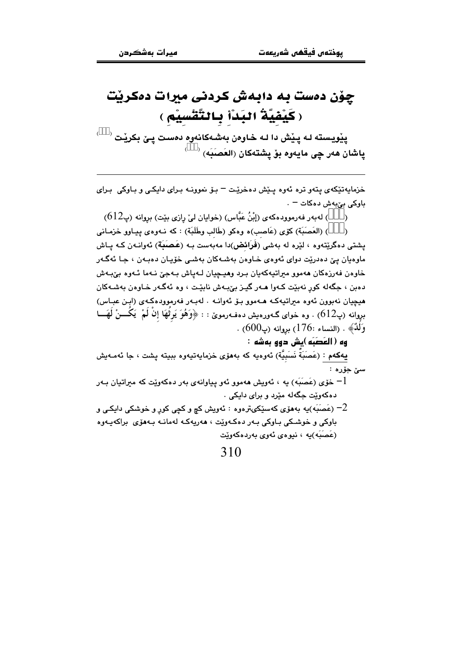## چۆن دەست بە دابەش كردنى مىرات دەكريت ( كَيْفَيَّةُ البَدْأ بِالتَّقْسِيْمِ )

 $^{\circ}$ يێويسته لـه يـێش دا لـه خـاوەن بەشـەكانەوە دەست يـێ بكرێت ياشان هەر چى مايەوە بۆ يشتەكان (العَصَبَه) <sup>(</sup>

خزمایهتێکهی پتهو تره ئهوه پیش دهخرییت – بـوّ نموونـه بـرای دایکـی و بـاوکی بـرای باوكى بېيەش دەكات - .

) لهبهر فهرموودهكه ي(إِنْنُ عَبَّاس) (خوايان ليّ رازي بيّت) بروانه (پِ12)

) (العَصَبَة) كَوْي (عَاصب)ه وهكو (طَالب وطَلَبَة) : كه نــهوهي پيـاوو خزمـاني  $\mathcal{E}$ یشتی دهگریتهوه ، لیره له بهشی (فَرَائض)دا مهبهست بـه (عَـصَبَة) ئهوانــهن کـه پــاش ماوهيان يئ دەدريت دواي ئەوەي خـاوەن بەشـەكان بەشـى خۆپـان دەبـەن ، جـا ئەگـەر خاوەن فەرزەكان ھەمور مىراتيەكەيان بىرد وھيچيان لـەياش بـەجىّ نـەما ئـەوە بىّبـەش دهبن ، جگهله کور نهبێت کـهوا هـهر گيـز بيّبـهش نابێـت ، وه ئهگـهر خـاوهن بهشـهکان هيچيان نەبوون ئەوە مىراتيەكـه ھــەموو بـۆ ئەوانــه . لەبـەر فەرموودەكـەي (ابـن عبـاس) برِوانه (پ612) . وه خوای گـهورهيش دهفـهرموێ : : ﴿وَهُوَ يَرثَهَا إِنْ لَمْ ۚ يَكَـــنْ لَهَـــا  $(600, 600)$  وَلَلْهُ ﴾ . (النساء :176) مروانه (ب

وه ( العَصَبَه )يش دوو بهشه :

يهكهم : (عَصَبَة نَسَبِيَّة) ئەوەيە كە بەھۆى خزمايەتيەوە ببيتە يشت ، جا ئەمـەيش سێ جۆرە :

خۆي (عَصَبَه) په ، ئەويش ھەموو ئەو پياوانەي بەر دەكەوێِت كە مىراتيان بـەر $-1\,$ دهکهوێت جگهله مێرد و برای دایکی .

رعَصَبَه)يه بههۆی کهسێکیټرهوه : ئەويش کچ و کچی کور و خوشکی دايکـی و $\,-2$ باوکي و خوشکي بـاوکي بـهر دهکـهوێت ، ههريهکـه لهمانـه بـهفوي براکهيـهوه (عَصَبَه)يه ، نيوهي ئهوي بهردهكهوٽيت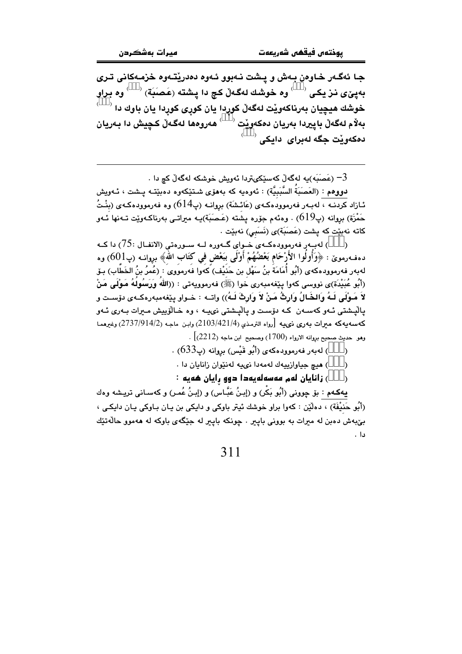جـا ئەگـەر خـاوەن بـەش و يـشت نـەبوو ئـەوە دەدريتـەوە خزمـەكانى تـرى بهييٌ عن نر يكي  $\langle \quad \rangle$ وه خوشك لهگهلٌ كچ دا يشته (عَصَبَة)  $\langle \quad \rangle$ وه براو خوشك هيچيان بەرناكەوێت لەگەڵ كوردا يان كورى كوردا يان باوك دا<sup>√</sup> بهلام لهگەلٌ باييردا بەريان دەكەويْت  $\mathcal{S}^{(n)}$  ھەروەھا لەگەلٌ كـڃيش دا بـەريان دهکهوێت جگه لهبرای دایکی <sup>(</sup>

. جَمَنَه)يه لهگەڵ كەسێكىتردا ئەويش خوشكە لەگەڵ كچ دا $3\,$ 

دووهم : (العَصَبَةُ السَّبَبِيَّة) : ئەوەبە كە بەھۆى شـتێِكەوە دەبێتـە يـشت ، ئـەويش ئـازاد كردنـه ، لهبـهر فهرموودهكـهى (عَائـشَة) بروانـه (پـ614) وه فهرموودهكـهى (بنْـتُ حَمْزَة) بِروانه (پ619) . وهئهم جوّره يشّته (عَـصَبَة)يـه ميراتـي بهرناكـهويّت تـهنها نَـهو كاته نەبێت كە پشت (عَصَبَة)ى (نَسَبى) نەبێت .

) لەبـەر فەرموودەكـەي خـواي گـەورە لــە سـورەتى (الانفـال :75) دا كــە  $\lambda$ دهفهرمويِّ : ﴿وَأُولُوا الأَرْحَام بَعْضُهُمْ أَوْلَى بَبَعْضٍ في كَتَابِ اللهُ﴾ بروانـه (پ601) وه لهڢهر فهرموودهكهى (أَبُو أُمَامَةُ بنُ سَهْل بن حَنَيْف) كَهُوا فَهرموُوى َ: (عُمرُ بنُ الخَطَّاب) بـۆ (أَبُو عُبَيْدَة)ي نووسي كهوا بِيَغْهمبهري خوا (ﷺ) فهرموويهتي : ((الله وَرَسُولَهُ مَوْلَى مَنْ لاَ مَـوْلَى لَـهُ وَالخَـالُ وَارِثُ مَنْ لاَ وَارِثَ لَـهُ)) واتــه : خـواو يێغهمبهرهكـهى دۆسـت و پاليشتي ئـهو كهسـهن كـه دۆسـت و پاليـشتي نىيـه ، وه خـالوّييش مـيرات بـهري ئـهو كەسەپەكە مىرات بەرى نىميە |رواە الترمذى (2103/421/4) وابن ماجە (2737/914/2) وغيرھما وهو حديث صحيح بروانه الارواء (1700) وصحيح ابن ماجه (2212) ] .

- ) لەبەر فەرموودەكەي (أَبُو قَيْس) بروانە (پ $(633)$  .  $\lambda$
- ) هيچ حياوازيپهك لهمهدا نىيه لهنٽوان زانايان دا .  $\lambda$
- ) زانایان لەم مەسەلەپەدا دوو رایان ھەپە :  $\lambda$

يهكـهم : بۆ چوونى (أَبُو بَكْرٍ) و (إِبنُ عَبَّـاس) و (إِبنُ عُمـرٍ) و كهسـانى تريـشه وهك (أَبُو حَنيْفَة) ، دهلَيْن : کهوا براو خوشك ئيتر باوکي و دايکي بن يـان بـاوکي يـان دايکـي ، .<br>بینبهش دهبن له میرات به بوونی باپیر . چونکه باپیر له جێگهی باوکه له ههموو حالّهتێك دا .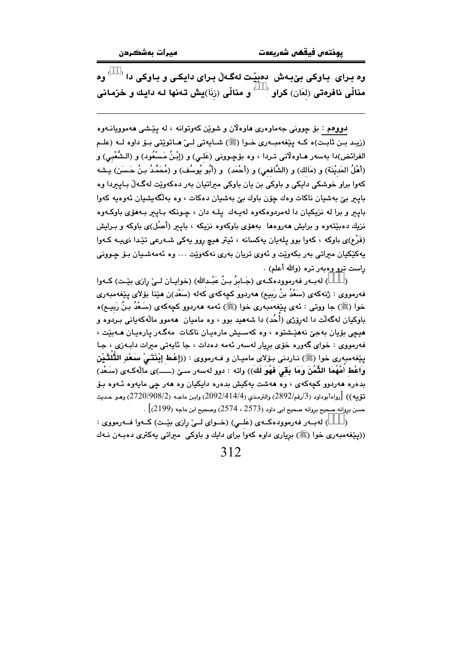l

وه بـرای بـاوکی بیٌبـهش دهبیّت لهگـهلٌ بـرای دایکـی و بـاوکی دا $\overset{\leftarrow}{\longrightarrow}$ وه منالّی ئافرەتی (لعَان) کراو <sup>( \_\_)</sup> و منالّی (زنَا)یش تـهنها لـه دایـك و خزمـانی

دووهم : بۆ چوونى جەماوەرى ھاوەلان و شوێن كەوتوانە ، لە پێشى ھەموويانــەوە (زیـد بـن ثابـت)ه کـه یێفهمبـهري خـوا (ﷺ) شـایهتي لـيّ هـاتوێتي بـوّ داوه لــه (علـم لفرائض)دا بهسهر هـاوهلاني تـردا ، وه بۆچـوونى (عَلـي) و (إِبْـنُ مَـسْعُود) و (الـشَّعْبي) و  $\mathsf{I}$ (أَهْلُ المَديْنَة) و (مَالك) و (الشَّافعي) و (أَحْمَد) و (أَبُو يُوسُف) و (مُحَمَّدُ بـنُ حَسَن) يـشه کهوا براو خوشکی دایکی و باوکی بن یان باوکی میراتیان بهر دهکهوێت لهگهڵ بـایـبردا وه باپير بيّ بهشيان ناكات وهك چۆن باوك بيّ بهشيان دهكات ، وه بهالگهيشيان ئهوهيه كهوا باپير و برا له نزيكيان دا لهمردوهكهوه لهيـهك پلـه دان ، چـونكه بـاپير بـهفۆى باوكـهوه نزیك دهبێتهوه و برایش ههروهها بههۆی باوكهوه نزیكه ، باپیر (أصْل)ی باوكه و بـرایش (فَرْع)ی باوکه ، کهوا بوو پلهیان یهکسانه ، ئیتر هیچ رِوو یهکی شـهرعی تێدا نیپـه کـهوا يەكێكيان مىراتى بەر بكەوێت و ئەوي تريان بەرى نەكەوێت … وە ئەمەشىيان بىۆ چـوونى راست ترو وهبهر تره (والله أعلم) .

) لهبــهر فهرموودهكــهي (جَــابرُ بــنُ عَبْــدالله) (خوايــان لــيٌ رِازي بيّــت) كــهوا  $\mathcal{E}$ فەرمووى : ژنەكەي (سَعْدُ بنُ رَبِيمِ) ھەردوو كچەكەي كەلە (سَعْد)ن ھێنا بۆلاي يێغەمبەرى خوا (ﷺ) جا ووتی : ئەی پێغەمبەری خوا (ﷺ) ئەمە ھەردوو كچەكەی (سَـعْدُ بـنُ رَبيـع)ە باوکیان لهگهڵت دا لهڕێژی (أَحُد) دا شههید بوو ، وه مامیان ههموو مالّهکهیانی بـردوه و هیچی بۆیان بەجیّ نەھیّشتوە ، وە كەسىش مارەيـان ناكـات مەگـەر پارەيـان ھـﻪبیّت ، فهرمووی : خوای گهوره خۆی بږیار لهسهر ئهمه دهدات ، جا ئايهتی ميرات دابـهزی ، جـا بِيّفهمبِهرى خوا (ﷺ) نـاردنى بـۆلاى ماميـان و فــهرمووى : ((إِعْط إِبْنَتَـيْ سَعْدِ التُّلُتَـيْنِ وَاعْطِ أَهُّهُمَا التُّمُنَ وَمَا بَقِيَ فَهُوَ لَكَ)) واته : دوو لهسهر سـێ (ــــــ)ى مالْهكـهى (سَـعْد) بدهره ههردوو کچهکهی ، وه ههشت یهکیش بدهره دایکیان وه ههر چی مایهوه ئـهوه بـۆ تۆيە))  $\bigl[$ رواەأبوداود (3/رقم/2892) والترمذي (4/414/42092) وابـن ماجـه (2/908/2) وهـو حـديث حسن بروانه صحيح بروانه صحيح ابي داود (2573 ، 2574) وصحيح ابن ماجه (2199)] .

) لهبـهر فهرموودهكـهى (عَلــى) (خــواى لــىٌ رازى بيّـت) كــهوا فــهرمووى :  $\rightarrow$ ((پێغهمبهری خوا (ﷺ) بږیاری داوه کهوا برای دایك و باوکی میراتی یهکتری دهبـهن نــهك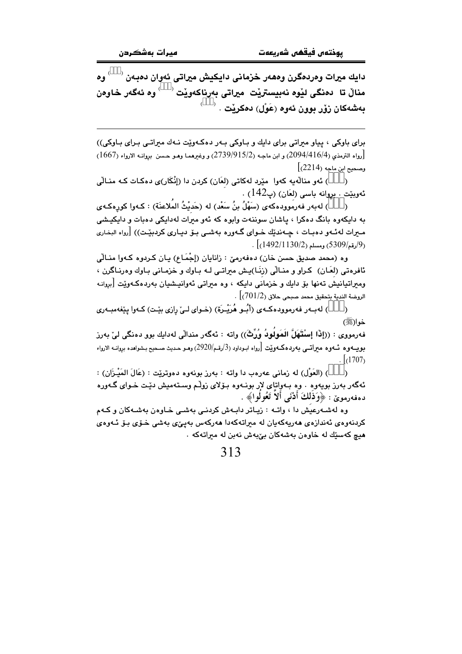دابك ميرات وەردەگرن وەھەر خزمانى دابكيش ميراتى ئەوان دەبـەن ' ` وە منالٌ تا دەنگى لێوە نەبيسترێت ميراتى بەرناكەوێت  $\langle\quad\rangle$ وە ئەگەر خاوەن بەشەكان زۆر بوون ئەوە (عَوْل) دەكرێت . <sup>( \_\_)</sup>

برای باوکی ، پیاو میراتی برای دایك و بـاوکی بـهر دهکـهویّت نـهك میراتـی بـرای بـاوکی))  $(1667)$ رواه الترمذي (2094/416/4) و ابن ماجـه (2739/915/2) و وغيرهمـا وهـو حـسن بروانـه الارواء (1667)  $\vert$ وصحيح ابن ماجه (2214)

) ئەو منالّەيە كەوا مێرد لەكاتى (لعَان) كردن دا (إنْكَار)ى دەكـات كـه منـالّى  $\lambda$ ئەوبێت . بڕوانە باسى (لعَان) (پ142) .

) له بهر فهرمووده که ی (سَهْلُ بنُ سَعْد) له (حَديْثُ الملاعنَة) : کـهوا کورِهکـه $_{\odot}$  $\lambda$ به دایکهوه بانگ دهکرا ، یاشان سوننهت وابوه که ئهو میرات لهدایکی دهبات و دایکیشی میرات له ئـهو دهبـات ، چـهندێك خـواي گـهوره بهشـي بــوّ ديــاري كردبێـت)) [رواه البخـاري  $\frac{1}{2}$ رقم/5309) ومسلم (130/2/1130).

وه (محمد صديق حسن خان) دهفهرميّ : زانايان (إجْمَـاع) يـان كـردوه كـهوا منـالِّي ئافرەتى (لعَان) كراو و منـالْي (زنَـا)پـش ميراتـي لـه بـاوك و خزمـانى بـاوك وەرنـاگرن ، ومیراتیانیش تەنھا بۆ دایك و خزمانبي دایكه ، وه میراتبي ئەوانیىشىیان بەردەكـەوپْت [بروانـە  $\left.\frac{1}{2}\right]$ الروضة الندية بتحقيق محمد صبحي حلاق (701/2) .

) لهبـهر فهرموودهكـهى (أَبُـو هُرَيْـرَة) (خـواى لـىْ رِازى بيْـت) كـهوا پيْغهمبـهرى  $\lambda$ خوا(ﷺ)

فهرمووى : ((إِذَا إِسْتَهَلَّ الَمَولُودُ وُرِّثْ)) واته : ئەگەر مندالْي لەدايك بوو دەنگى لىْ بەرز بویـهوه ئـهوه میراتــي بهردهکـهوێت [رواه ابـوداود (3/رقـم/2920) وهـو حـديث صـحيح بـشواهده بروانــه الارواء  $\lceil (1707) \rceil$ 

) (العَوْل) له زماني عەرەب دا واته : بەرز بونەوە دەوترێت : (عَالَ المَيْـزَان) :  $\mathcal{L}$ ئەگەر بەرز بويەوە ٠ وە بـەواتاي لار بونـەوە بـۆلاي زولْـم وسـتـەميش دێـت خـواي گـەورە دەڧەرموين : ﴿وَذَلِكَ أَدْنَى أَلا تَعُولُوا﴾ .

وه لهشـهرعیش دا ، واتـه : زیـاتر دابـهش کردنـی بهشـی خـاوهن بهشـهکان و کـهم كردنەوەي ئەندازەي ھەريەكەيان لە مېراتەكەدا ھەركەس بەپى، بەشى خىۆى بىق ئـەوەي ميچ کەسێك لە خارەن بەشەكان بێبەش نەبن لە مىراتەکە .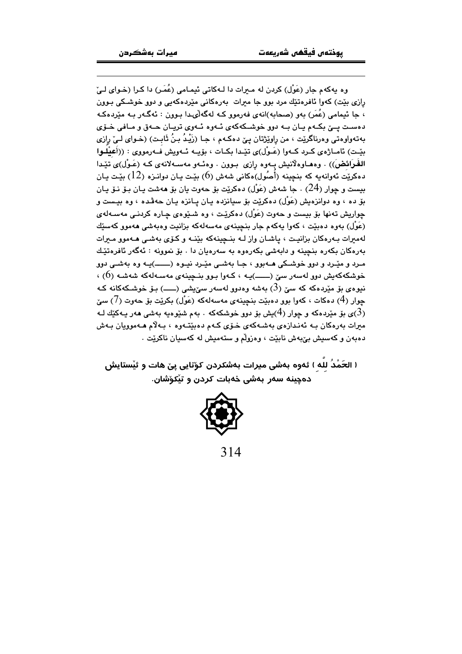وه بهكهم جار (عَوْل) كردن له مـبرات دا لـهكاتي ئيمـامي (عُمَـر) دا كـرا (خـواي لـيّ رازی بێت) کهوا ئافرهتێك مرد بوو جا میرات بهرهکانی مێردهکهیی و دوو خوشکی بـوون ، جا ئیمامی (عُمَر) بهو (صحابه)انهی فهرموږ کـه لهگهڵی٤دا بـوون : ئهگـهر بـه مێردهکـه دهست پيئ بکـهم پـان بـه دوو خوشـکهکهي ئـهوه ئـهوي تريـان حـهق و مـافي خـۆي بهتەواوەتى وەرناگرێت ، من راوێژتان پێ دەكـهم ، جـا (زَيْـدُ بـنُ ثَابـت) (خـواي لـيٚ رازي بِيِّت) ئامـاژەي كـرد كــەوا (عَـوْل)ى تيِّـدا بِكــات ، بۆيــە ئــەويش فــەرمووى : ((أَعيْلُـوا الفَرَائضَ)) . وههـاوهلانيش بـهوه رازي بـوون . وهنّـهو مهسـهلانهي كـه (عَـوْل)ي تنيّـدا دهکرێت ئەوانەيە کە بنچينە (أَصُول)ەکانى شەش (6) بێت يـان دوانـزە (12) بێت يـان بيست و چوار (24) . جا شەش (عَوْل) دەكرێت بۆ جەوت يان بۆ ھەشت يـان بـۆ نـۆ يـان يۆ دە › وە دوانزەيش (عَوْل) دەكرێت بۆ سيانزدە بـان يـانزە بـان چەڤـدە › وە بيـست و چواریش تەنھا بۆ بیست و حەوت (عَوْل) دەكرێت ، وە شىێوەي چارە كردنـى مەسـەلەي (عَوْل) بەوە دەبێت ، كەوا يەكەم جار بنچينەي مەسەلەكە بزانيت وەبەشى ھەموو كەسێك لهمیرات به رهکان بزانیت ، یاشان واز لـه بنـجینهکه بیّنـه و کـوّی بهشـی هـهموو مـیرات بهرهکان بکهره بنچینه و دابهشی بکهرهوه به سهرهیان دا . بۆ نموونه : ئهگهر ئافرهتێك مـرد و مێـرد و دوو خوشـکی هـهبوو ، جـا بهشـی مێـرد نیـوه (ــــــ)یـه وه بهشـی دوو خوشکەکەيش دوو لەسەر سێ (ــــــ)يـه ، کـەوا بـوو بنـڃينەي مەسـەلەکە شەشـە (6) ، نیوهی بۆ مێردەكە كە سێ (3) بەشە وەدوو لەسەر سێیشی (ــــــ) بىۆ خوشىكەكانە كـە چوار (4) دهکات ، کهوا بوو دهبێت بنچینهی مهسهلهکه (عَوْل) بکرێت بۆ حەوت (7) سێ ی بۆ مێردەكە و چوار (4)يش بۆ دوو خوشكەكە . بەم شێوەيە بەشى ھەر يـەكێك لـە $(3)$ میرات بەرەكان بـه ئەنـدازەي بەشـەكەي خـۆي كـەم دەبێتـەوە ، بـەلاّم ھـەموويان بـەش دهبهن و کهسیش بے بهش نابیّت ، وهزولّم و ستهمیش له کهسیان ناکریّت .

۱ الحَمْدُ لله ۱ ئەوە بەشى مىرات بەشكردن كۆتاپى پى ھات و ئىستايش دەچىنە سەر بەشى خەبات كردن و تېكۆشان.

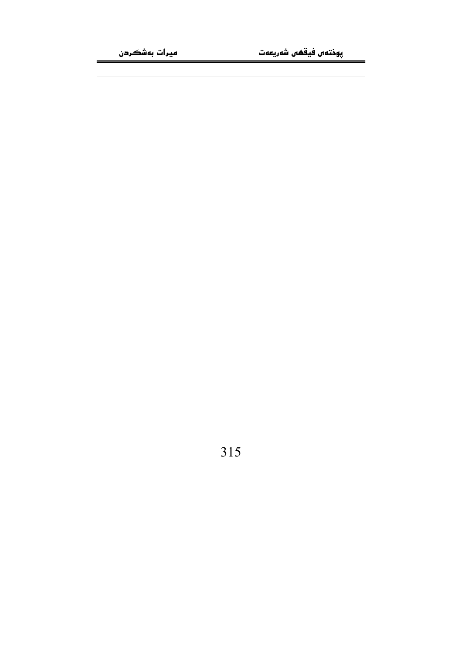پوختەں فيقھى شەريعەت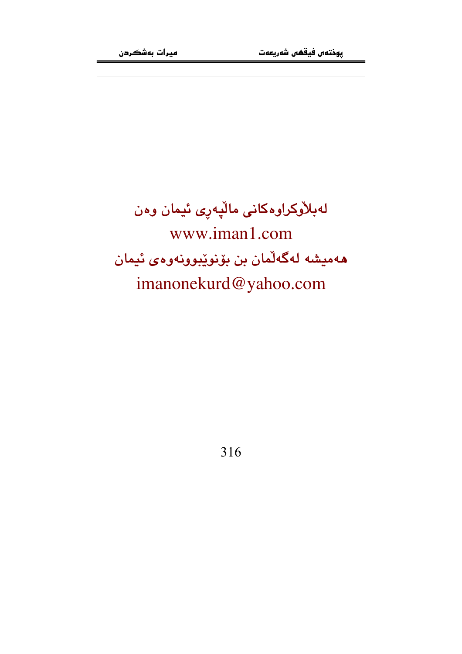# لەبلاّۈكراوەكانى مالّپەرى ئيمان وەن www.iman1.com هەمیشە لەگەلّمان بن بۆنوێبوونەوەي ئیمان imanonekurd@yahoo.com